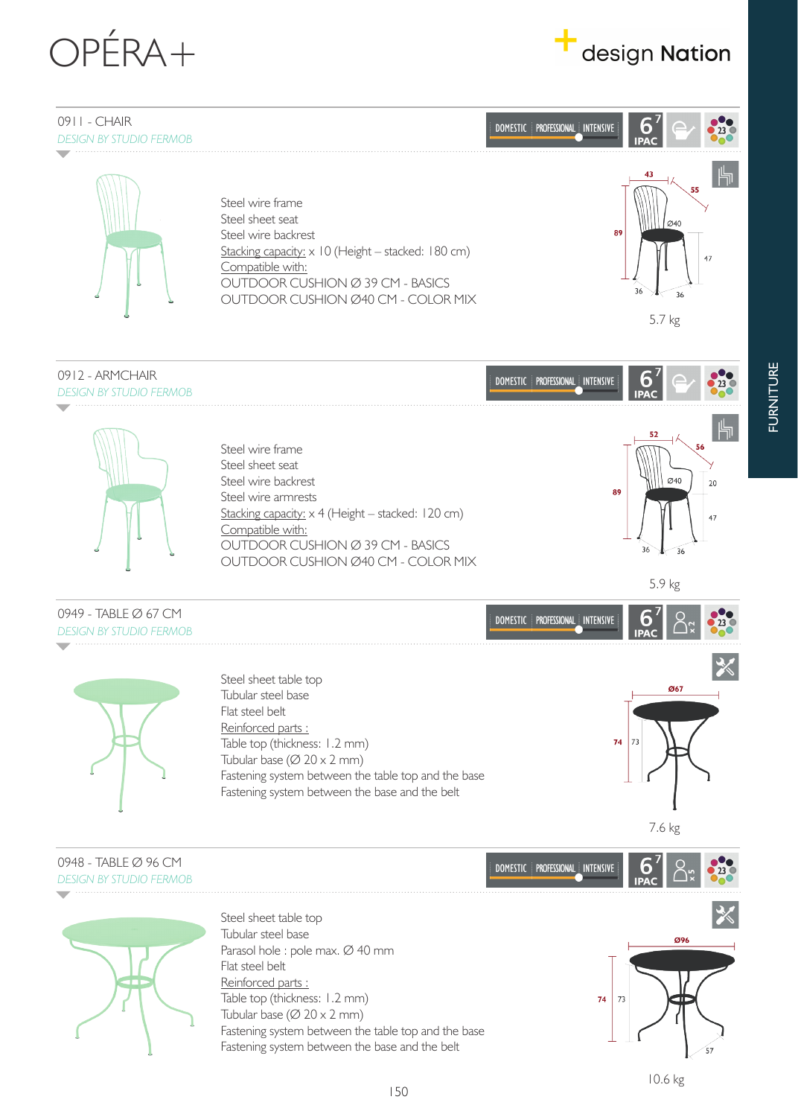





**FURNITURE** FURNITURE